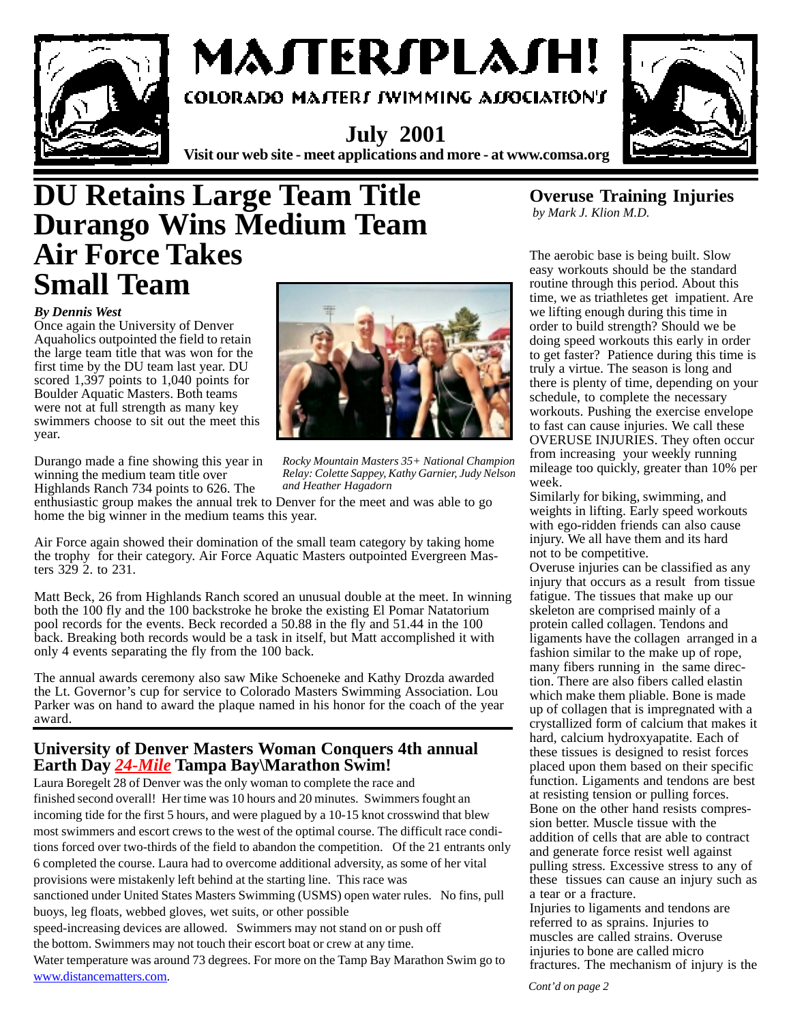

# MAJTERJPLAJH!

COLORADO MATERI IWIMMING ALIOCIATION'I

**July 2001 Visit our web site - meet applications and more - at www.comsa.org**



### **DU Retains Large Team Title Durango Wins Medium Team Air Force Takes Small Team**

#### *By Dennis West*

Once again the University of Denver Aquaholics outpointed the field to retain the large team title that was won for the first time by the DU team last year. DU scored 1,397 points to 1,040 points for Boulder Aquatic Masters. Both teams were not at full strength as many key swimmers choose to sit out the meet this year.

Durango made a fine showing this year in winning the medium team title over Highlands Ranch 734 points to 626. The

*Rocky Mountain Masters 35+ National Champion Relay: Colette Sappey, Kathy Garnier, Judy Nelson*

*and Heather Hagadorn*

enthusiastic group makes the annual trek to Denver for the meet and was able to go home the big winner in the medium teams this year.

Air Force again showed their domination of the small team category by taking home the trophy for their category. Air Force Aquatic Masters outpointed Evergreen Masters 329 2. to 231.

Matt Beck, 26 from Highlands Ranch scored an unusual double at the meet. In winning both the 100 fly and the 100 backstroke he broke the existing El Pomar Natatorium pool records for the events. Beck recorded a 50.88 in the fly and 51.44 in the 100 back. Breaking both records would be a task in itself, but Matt accomplished it with only 4 events separating the fly from the 100 back.

The annual awards ceremony also saw Mike Schoeneke and Kathy Drozda awarded the Lt. Governor's cup for service to Colorado Masters Swimming Association. Lou Parker was on hand to award the plaque named in his honor for the coach of the year award.

### **University of Denver Masters Woman Conquers 4th annual Earth Day** *24-Mile* **Tampa Bay\Marathon Swim!**

Laura Boregelt 28 of Denver was the only woman to complete the race and finished second overall! Her time was 10 hours and 20 minutes. Swimmers fought an incoming tide for the first 5 hours, and were plagued by a 10-15 knot crosswind that blew most swimmers and escort crews to the west of the optimal course. The difficult race conditions forced over two-thirds of the field to abandon the competition. Of the 21 entrants only 6 completed the course. Laura had to overcome additional adversity, as some of her vital provisions were mistakenly left behind at the starting line. This race was sanctioned under United States Masters Swimming (USMS) open water rules. No fins, pull buoys, leg floats, webbed gloves, wet suits, or other possible

speed-increasing devices are allowed. Swimmers may not stand on or push off the bottom. Swimmers may not touch their escort boat or crew at any time.

Water temperature was around 73 degrees. For more on the Tamp Bay Marathon Swim go to www.distancematters.com.

#### **Overuse Training Injuries**  *by Mark J. Klion M.D.*

The aerobic base is being built. Slow easy workouts should be the standard routine through this period. About this time, we as triathletes get impatient. Are we lifting enough during this time in order to build strength? Should we be doing speed workouts this early in order to get faster? Patience during this time is truly a virtue. The season is long and there is plenty of time, depending on your schedule, to complete the necessary workouts. Pushing the exercise envelope to fast can cause injuries. We call these OVERUSE INJURIES. They often occur from increasing your weekly running mileage too quickly, greater than 10% per week.

Similarly for biking, swimming, and weights in lifting. Early speed workouts with ego-ridden friends can also cause injury. We all have them and its hard not to be competitive.

Overuse injuries can be classified as any injury that occurs as a result from tissue fatigue. The tissues that make up our skeleton are comprised mainly of a protein called collagen. Tendons and ligaments have the collagen arranged in a fashion similar to the make up of rope, many fibers running in the same direction. There are also fibers called elastin which make them pliable. Bone is made up of collagen that is impregnated with a crystallized form of calcium that makes it hard, calcium hydroxyapatite. Each of these tissues is designed to resist forces placed upon them based on their specific function. Ligaments and tendons are best at resisting tension or pulling forces. Bone on the other hand resists compression better. Muscle tissue with the addition of cells that are able to contract and generate force resist well against pulling stress. Excessive stress to any of these tissues can cause an injury such as a tear or a fracture.

Injuries to ligaments and tendons are referred to as sprains. Injuries to muscles are called strains. Overuse injuries to bone are called micro fractures. The mechanism of injury is the

*Cont'd on page 2*

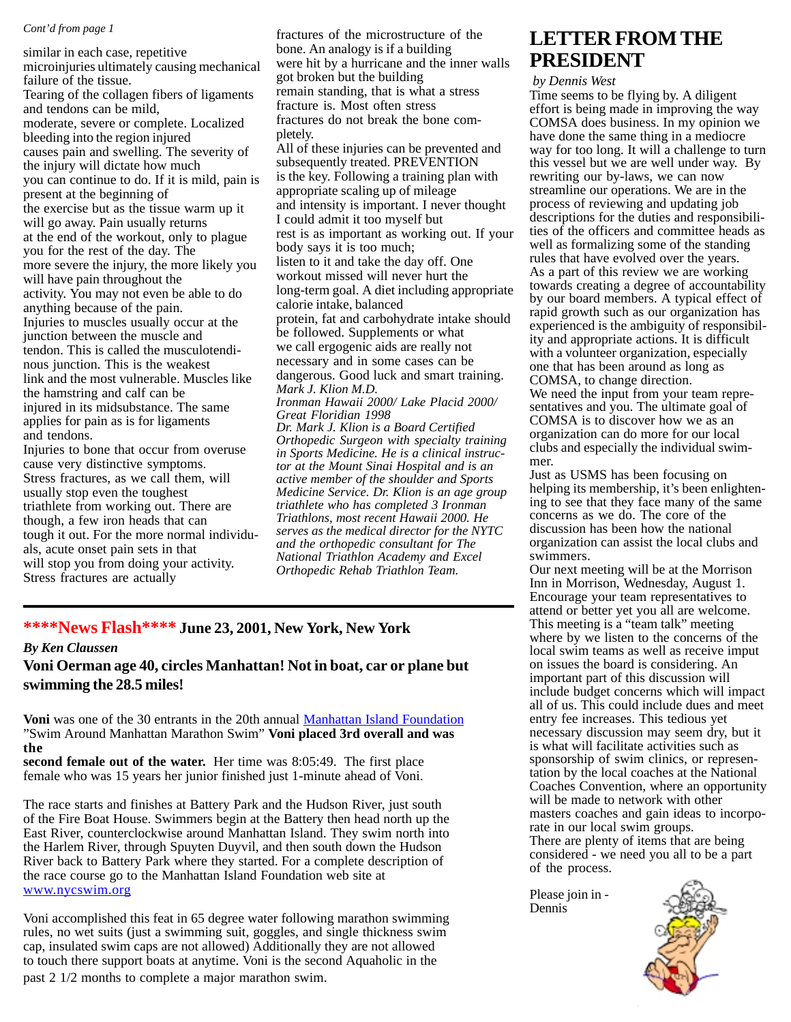#### *Cont'd from page 1*

similar in each case, repetitive microinjuries ultimately causing mechanical failure of the tissue. Tearing of the collagen fibers of ligaments and tendons can be mild, moderate, severe or complete. Localized bleeding into the region injured causes pain and swelling. The severity of the injury will dictate how much you can continue to do. If it is mild, pain is present at the beginning of the exercise but as the tissue warm up it will go away. Pain usually returns at the end of the workout, only to plague you for the rest of the day. The more severe the injury, the more likely you will have pain throughout the activity. You may not even be able to do anything because of the pain. Injuries to muscles usually occur at the junction between the muscle and tendon. This is called the musculotendinous junction. This is the weakest link and the most vulnerable. Muscles like the hamstring and calf can be injured in its midsubstance. The same applies for pain as is for ligaments and tendons.

Injuries to bone that occur from overuse cause very distinctive symptoms. Stress fractures, as we call them, will usually stop even the toughest triathlete from working out. There are though, a few iron heads that can tough it out. For the more normal individuals, acute onset pain sets in that will stop you from doing your activity. Stress fractures are actually

fractures of the microstructure of the bone. An analogy is if a building were hit by a hurricane and the inner walls got broken but the building remain standing, that is what a stress fracture is. Most often stress fractures do not break the bone completely. All of these injuries can be prevented and subsequently treated. PREVENTION is the key. Following a training plan with appropriate scaling up of mileage and intensity is important. I never thought I could admit it too myself but

rest is as important as working out. If your body says it is too much; listen to it and take the day off. One workout missed will never hurt the long-term goal. A diet including appropriate calorie intake, balanced protein, fat and carbohydrate intake should be followed. Supplements or what we call ergogenic aids are really not necessary and in some cases can be dangerous. Good luck and smart training. *Mark J. Klion M.D.*

*Ironman Hawaii 2000/ Lake Placid 2000/ Great Floridian 1998 Dr. Mark J. Klion is a Board Certified Orthopedic Surgeon with specialty training in Sports Medicine. He is a clinical instructor at the Mount Sinai Hospital and is an active member of the shoulder and Sports Medicine Service. Dr. Klion is an age group triathlete who has completed 3 Ironman Triathlons, most recent Hawaii 2000. He serves as the medical director for the NYTC*

*and the orthopedic consultant for The National Triathlon Academy and Excel Orthopedic Rehab Triathlon Team.*

#### **\*\*\*\*News Flash\*\*\*\* June 23, 2001, New York, New York**

#### *By Ken Claussen*

**Voni Oerman age 40, circles Manhattan! Not in boat, car or plane but swimming the 28.5 miles!**

**Voni** was one of the 30 entrants in the 20th annual Manhattan Island Foundation "Swim Around Manhattan Marathon Swim" **Voni placed 3rd overall and was the**

**second female out of the water.** Her time was 8:05:49. The first place female who was 15 years her junior finished just 1-minute ahead of Voni.

The race starts and finishes at Battery Park and the Hudson River, just south of the Fire Boat House. Swimmers begin at the Battery then head north up the East River, counterclockwise around Manhattan Island. They swim north into the Harlem River, through Spuyten Duyvil, and then south down the Hudson River back to Battery Park where they started. For a complete description of the race course go to the Manhattan Island Foundation web site at www.nycswim.org

Voni accomplished this feat in 65 degree water following marathon swimming rules, no wet suits (just a swimming suit, goggles, and single thickness swim cap, insulated swim caps are not allowed) Additionally they are not allowed to touch there support boats at anytime. Voni is the second Aquaholic in the

past 2 1/2 months to complete a major marathon swim.

### **LETTER FROM THE PRESIDENT**

 *by Dennis West*

Time seems to be flying by. A diligent effort is being made in improving the way COMSA does business. In my opinion we have done the same thing in a mediocre way for too long. It will a challenge to turn this vessel but we are well under way. By rewriting our by-laws, we can now streamline our operations. We are in the process of reviewing and updating job descriptions for the duties and responsibilities of the officers and committee heads as well as formalizing some of the standing rules that have evolved over the years. As a part of this review we are working towards creating a degree of accountability by our board members. A typical effect of rapid growth such as our organization has experienced is the ambiguity of responsibility and appropriate actions. It is difficult with a volunteer organization, especially one that has been around as long as COMSA, to change direction. We need the input from your team representatives and you. The ultimate goal of COMSA is to discover how we as an

organization can do more for our local clubs and especially the individual swimmer.

Just as USMS has been focusing on helping its membership, it's been enlightening to see that they face many of the same concerns as we do. The core of the discussion has been how the national organization can assist the local clubs and swimmers.

Our next meeting will be at the Morrison Inn in Morrison, Wednesday, August 1. Encourage your team representatives to attend or better yet you all are welcome. This meeting is a "team talk" meeting where by we listen to the concerns of the local swim teams as well as receive imput on issues the board is considering. An important part of this discussion will include budget concerns which will impact all of us. This could include dues and meet entry fee increases. This tedious yet necessary discussion may seem dry, but it is what will facilitate activities such as sponsorship of swim clinics, or representation by the local coaches at the National Coaches Convention, where an opportunity will be made to network with other masters coaches and gain ideas to incorporate in our local swim groups. There are plenty of items that are being considered - we need you all to be a part of the process.

Please join in - Dennis

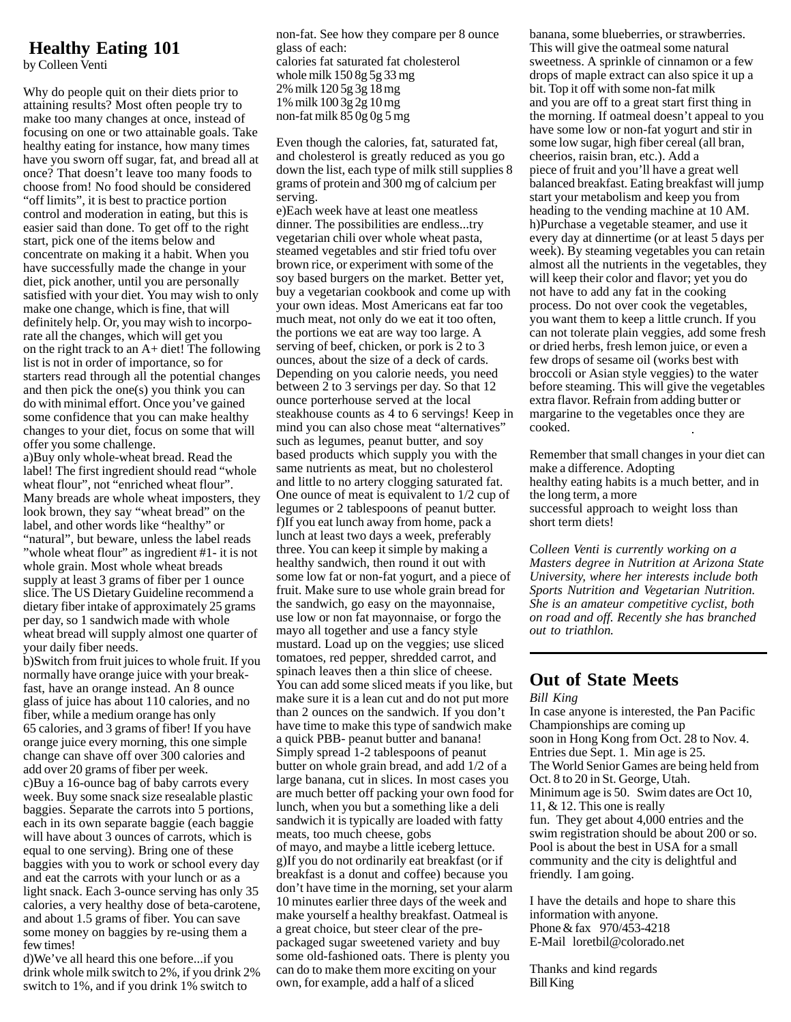### **Healthy Eating 101**

by Colleen Venti

Why do people quit on their diets prior to attaining results? Most often people try to make too many changes at once, instead of focusing on one or two attainable goals. Take healthy eating for instance, how many times have you sworn off sugar, fat, and bread all at once? That doesn't leave too many foods to choose from! No food should be considered "off limits", it is best to practice portion control and moderation in eating, but this is easier said than done. To get off to the right start, pick one of the items below and concentrate on making it a habit. When you have successfully made the change in your diet, pick another, until you are personally satisfied with your diet. You may wish to only make one change, which is fine, that will definitely help. Or, you may wish to incorporate all the changes, which will get you on the right track to an A+ diet! The following list is not in order of importance, so for starters read through all the potential changes and then pick the one(s) you think you can do with minimal effort. Once you've gained some confidence that you can make healthy changes to your diet, focus on some that will offer you some challenge.

a)Buy only whole-wheat bread. Read the label! The first ingredient should read "whole wheat flour", not "enriched wheat flour". Many breads are whole wheat imposters, they look brown, they say "wheat bread" on the label, and other words like "healthy" or "natural", but beware, unless the label reads "whole wheat flour" as ingredient #1- it is not whole grain. Most whole wheat breads supply at least 3 grams of fiber per 1 ounce slice. The US Dietary Guideline recommend a dietary fiber intake of approximately 25 grams per day, so 1 sandwich made with whole wheat bread will supply almost one quarter of your daily fiber needs.

b)Switch from fruit juices to whole fruit. If you normally have orange juice with your breakfast, have an orange instead. An 8 ounce glass of juice has about 110 calories, and no fiber, while a medium orange has only 65 calories, and 3 grams of fiber! If you have orange juice every morning, this one simple change can shave off over 300 calories and add over 20 grams of fiber per week. c)Buy a 16-ounce bag of baby carrots every week. Buy some snack size resealable plastic baggies. Separate the carrots into 5 portions, each in its own separate baggie (each baggie will have about 3 ounces of carrots, which is equal to one serving). Bring one of these baggies with you to work or school every day and eat the carrots with your lunch or as a light snack. Each 3-ounce serving has only 35 calories, a very healthy dose of beta-carotene, and about 1.5 grams of fiber. You can save some money on baggies by re-using them a few times!

d)We've all heard this one before...if you drink whole milk switch to 2%, if you drink 2% switch to 1%, and if you drink 1% switch to

non-fat. See how they compare per 8 ounce glass of each: calories fat saturated fat cholesterol whole milk 150 8g 5g 33 mg 2% milk 120 5g 3g 18 mg 1% milk 100 3g 2g 10 mg non-fat milk 85 0g 0g 5 mg

Even though the calories, fat, saturated fat, and cholesterol is greatly reduced as you go down the list, each type of milk still supplies 8 grams of protein and 300 mg of calcium per serving.

e)Each week have at least one meatless dinner. The possibilities are endless...try vegetarian chili over whole wheat pasta, steamed vegetables and stir fried tofu over brown rice, or experiment with some of the soy based burgers on the market. Better yet, buy a vegetarian cookbook and come up with your own ideas. Most Americans eat far too much meat, not only do we eat it too often, the portions we eat are way too large. A serving of beef, chicken, or pork is 2 to 3 ounces, about the size of a deck of cards. Depending on you calorie needs, you need between 2 to 3 servings per day. So that 12 ounce porterhouse served at the local steakhouse counts as 4 to 6 servings! Keep in mind you can also chose meat "alternatives" such as legumes, peanut butter, and soy based products which supply you with the same nutrients as meat, but no cholesterol and little to no artery clogging saturated fat. One ounce of meat is equivalent to 1/2 cup of legumes or 2 tablespoons of peanut butter. f)If you eat lunch away from home, pack a lunch at least two days a week, preferably three. You can keep it simple by making a healthy sandwich, then round it out with some low fat or non-fat yogurt, and a piece of fruit. Make sure to use whole grain bread for the sandwich, go easy on the mayonnaise, use low or non fat mayonnaise, or forgo the mayo all together and use a fancy style mustard. Load up on the veggies; use sliced tomatoes, red pepper, shredded carrot, and spinach leaves then a thin slice of cheese. You can add some sliced meats if you like, but make sure it is a lean cut and do not put more than 2 ounces on the sandwich. If you don't have time to make this type of sandwich make a quick PBB- peanut butter and banana! Simply spread 1-2 tablespoons of peanut butter on whole grain bread, and add 1/2 of a large banana, cut in slices. In most cases you are much better off packing your own food for lunch, when you but a something like a deli sandwich it is typically are loaded with fatty meats, too much cheese, gobs of mayo, and maybe a little iceberg lettuce. g)If you do not ordinarily eat breakfast (or if breakfast is a donut and coffee) because you don't have time in the morning, set your alarm 10 minutes earlier three days of the week and make yourself a healthy breakfast. Oatmeal is a great choice, but steer clear of the prepackaged sugar sweetened variety and buy some old-fashioned oats. There is plenty you can do to make them more exciting on your own, for example, add a half of a sliced

banana, some blueberries, or strawberries. This will give the oatmeal some natural sweetness. A sprinkle of cinnamon or a few drops of maple extract can also spice it up a bit. Top it off with some non-fat milk and you are off to a great start first thing in the morning. If oatmeal doesn't appeal to you have some low or non-fat yogurt and stir in some low sugar, high fiber cereal (all bran, cheerios, raisin bran, etc.). Add a piece of fruit and you'll have a great well balanced breakfast. Eating breakfast will jump start your metabolism and keep you from heading to the vending machine at 10 AM. h)Purchase a vegetable steamer, and use it every day at dinnertime (or at least 5 days per week). By steaming vegetables you can retain almost all the nutrients in the vegetables, they will keep their color and flavor; yet you do not have to add any fat in the cooking process. Do not over cook the vegetables, you want them to keep a little crunch. If you can not tolerate plain veggies, add some fresh or dried herbs, fresh lemon juice, or even a few drops of sesame oil (works best with broccoli or Asian style veggies) to the water before steaming. This will give the vegetables extra flavor. Refrain from adding butter or margarine to the vegetables once they are cooked.

Remember that small changes in your diet can make a difference. Adopting healthy eating habits is a much better, and in the long term, a more successful approach to weight loss than short term diets!

C*olleen Venti is currently working on a Masters degree in Nutrition at Arizona State University, where her interests include both Sports Nutrition and Vegetarian Nutrition. She is an amateur competitive cyclist, both on road and off. Recently she has branched out to triathlon.*

#### **Out of State Meets**

*Bill King*

In case anyone is interested, the Pan Pacific Championships are coming up soon in Hong Kong from Oct. 28 to Nov. 4. Entries due Sept. 1. Min age is 25. The World Senior Games are being held from Oct. 8 to 20 in St. George, Utah. Minimum age is 50. Swim dates are Oct 10, 11, & 12. This one is really fun. They get about 4,000 entries and the swim registration should be about 200 or so. Pool is about the best in USA for a small community and the city is delightful and friendly. I am going.

I have the details and hope to share this information with anyone. Phone & fax 970/453-4218 E-Mail loretbil@colorado.net

Thanks and kind regards Bill King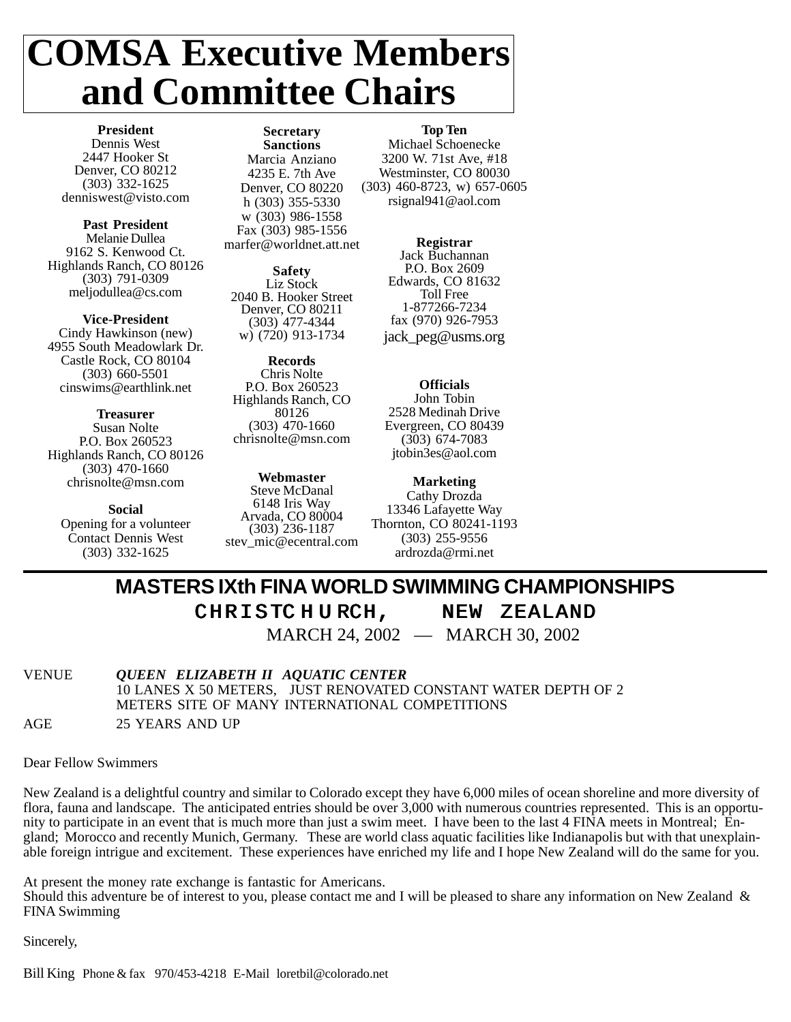## **COMSA Executive Members and Committee Chairs**

**President** Dennis West 2447 Hooker St Denver, CO 80212 (303) 332-1625 denniswest@visto.com

**Past President** Melanie Dullea 9162 S. Kenwood Ct. Highlands Ranch, CO 80126 (303) 791-0309 meljodullea@cs.com

**Vice-President** Cindy Hawkinson (new) 4955 South Meadowlark Dr. Castle Rock, CO 80104 (303) 660-5501 cinswims@earthlink.net

**Treasurer** Susan Nolte P.O. Box 260523 Highlands Ranch, CO 80126 (303) 470-1660 chrisnolte@msn.com

**Social** Opening for a volunteer Contact Dennis West (303) 332-1625

**Secretary Sanctions** Marcia Anziano 4235 E. 7th Ave Denver, CO 80220 h (303) 355-5330 w (303) 986-1558 Fax (303) 985-1556 marfer@worldnet.att.net

**Safety** Liz Stock 2040 B. Hooker Street Denver, CO 80211 (303) 477-4344 w) (720) 913-1734

**Records** Chris Nolte P.O. Box 260523 Highlands Ranch, CO 80126 (303) 470-1660 chrisnolte@msn.com

**Webmaster** Steve McDanal 6148 Iris Way Arvada, CO 80004 (303) 236-1187 stev\_mic@ecentral.com **Top Ten**

Michael Schoenecke 3200 W. 71st Ave, #18 Westminster, CO 80030 (303) 460-8723, w) 657-0605 rsignal941@aol.com

> **Registrar** Jack Buchannan P.O. Box 2609 Edwards, CO 81632 Toll Free 1-877266-7234 fax (970) 926-7953 jack\_peg@usms.org

**Officials** John Tobin 2528 Medinah Drive Evergreen, CO 80439 (303) 674-7083 jtobin3es@aol.com

**Marketing** Cathy Drozda 13346 Lafayette Way Thornton, CO 80241-1193 (303) 255-9556 ardrozda@rmi.net

### **MASTERS IXth FINA WORLD SWIMMING CHAMPIONSHIPS**

### CHRISTCHURCH, NEW ZEALAND

MARCH 24, 2002 — MARCH 30, 2002

VENUE *QUEEN ELIZABETH II AQUATIC CENTER* 10 LANES X 50 METERS, JUST RENOVATED CONSTANT WATER DEPTH OF 2 METERS SITE OF MANY INTERNATIONAL COMPETITIONS AGE 25 YEARS AND UP

Dear Fellow Swimmers

New Zealand is a delightful country and similar to Colorado except they have 6,000 miles of ocean shoreline and more diversity of flora, fauna and landscape. The anticipated entries should be over 3,000 with numerous countries represented. This is an opportunity to participate in an event that is much more than just a swim meet. I have been to the last 4 FINA meets in Montreal; England; Morocco and recently Munich, Germany. These are world class aquatic facilities like Indianapolis but with that unexplainable foreign intrigue and excitement. These experiences have enriched my life and I hope New Zealand will do the same for you.

At present the money rate exchange is fantastic for Americans.

Should this adventure be of interest to you, please contact me and I will be pleased to share any information on New Zealand & FINA Swimming

Sincerely,

Bill King Phone & fax 970/453-4218 E-Mail loretbil@colorado.net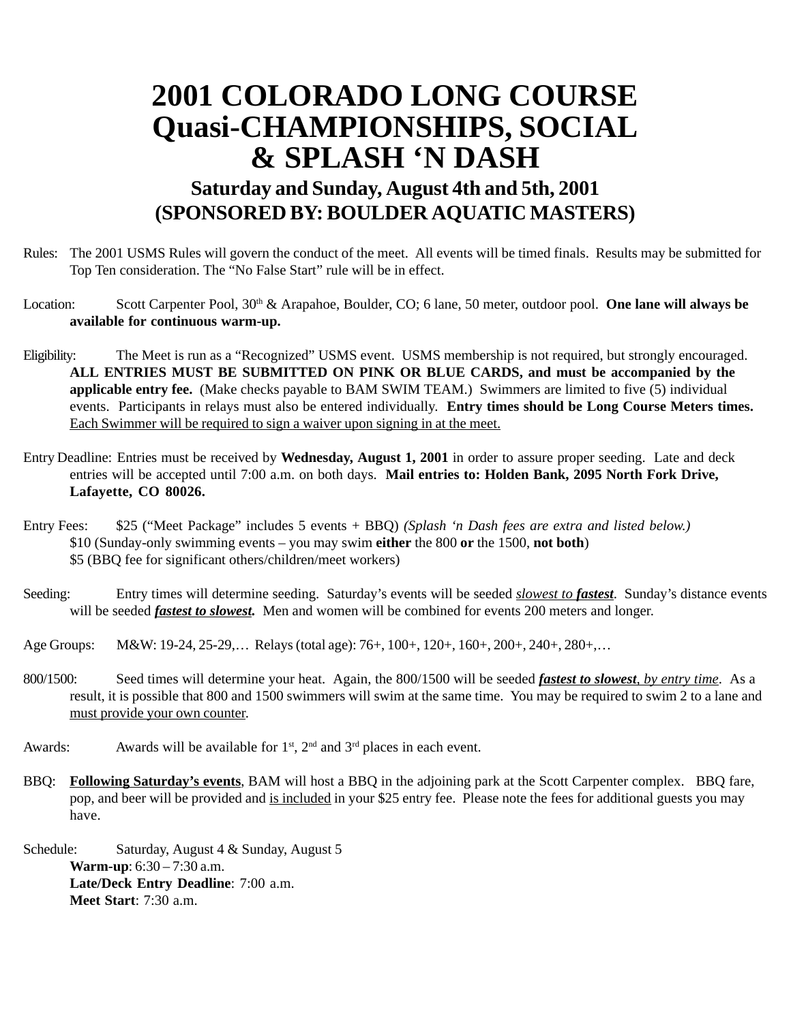### **2001 COLORADO LONG COURSE Quasi-CHAMPIONSHIPS, SOCIAL & SPLASH 'N DASH**

### **Saturday and Sunday, August 4th and 5th, 2001 (SPONSORED BY: BOULDER AQUATIC MASTERS)**

- Rules: The 2001 USMS Rules will govern the conduct of the meet. All events will be timed finals. Results may be submitted for Top Ten consideration. The "No False Start" rule will be in effect.
- Location: Scott Carpenter Pool, 30<sup>th</sup> & Arapahoe, Boulder, CO; 6 lane, 50 meter, outdoor pool. **One lane will always be available for continuous warm-up.**
- Eligibility: The Meet is run as a "Recognized" USMS event. USMS membership is not required, but strongly encouraged. **ALL ENTRIES MUST BE SUBMITTED ON PINK OR BLUE CARDS, and must be accompanied by the applicable entry fee.** (Make checks payable to BAM SWIM TEAM.) Swimmers are limited to five (5) individual events. Participants in relays must also be entered individually. **Entry times should be Long Course Meters times.** Each Swimmer will be required to sign a waiver upon signing in at the meet.
- Entry Deadline: Entries must be received by **Wednesday, August 1, 2001** in order to assure proper seeding. Late and deck entries will be accepted until 7:00 a.m. on both days. **Mail entries to: Holden Bank, 2095 North Fork Drive, Lafayette, CO 80026.**
- Entry Fees: \$25 ("Meet Package" includes 5 events + BBQ) *(Splash 'n Dash fees are extra and listed below.)* \$10 (Sunday-only swimming events – you may swim **either** the 800 **or** the 1500, **not both**) \$5 (BBQ fee for significant others/children/meet workers)
- Seeding: Entry times will determine seeding. Saturday's events will be seeded *slowest to fastest*. Sunday's distance events will be seeded *fastest to slowest*. Men and women will be combined for events 200 meters and longer.
- Age Groups: M&W: 19-24, 25-29,… Relays (total age): 76+, 100+, 120+, 160+, 200+, 240+, 280+,…
- 800/1500: Seed times will determine your heat. Again, the 800/1500 will be seeded *fastest to slowest, by entry time*. As a result, it is possible that 800 and 1500 swimmers will swim at the same time. You may be required to swim 2 to a lane and must provide your own counter.
- Awards: Awards will be available for  $1<sup>st</sup>$ ,  $2<sup>nd</sup>$  and  $3<sup>rd</sup>$  places in each event.
- BBQ: **Following Saturday's events**, BAM will host a BBQ in the adjoining park at the Scott Carpenter complex. BBQ fare, pop, and beer will be provided and is included in your \$25 entry fee. Please note the fees for additional guests you may have.
- Schedule: Saturday, August 4 & Sunday, August 5 **Warm-up**: 6:30 – 7:30 a.m. **Late/Deck Entry Deadline**: 7:00 a.m. **Meet Start**: 7:30 a.m.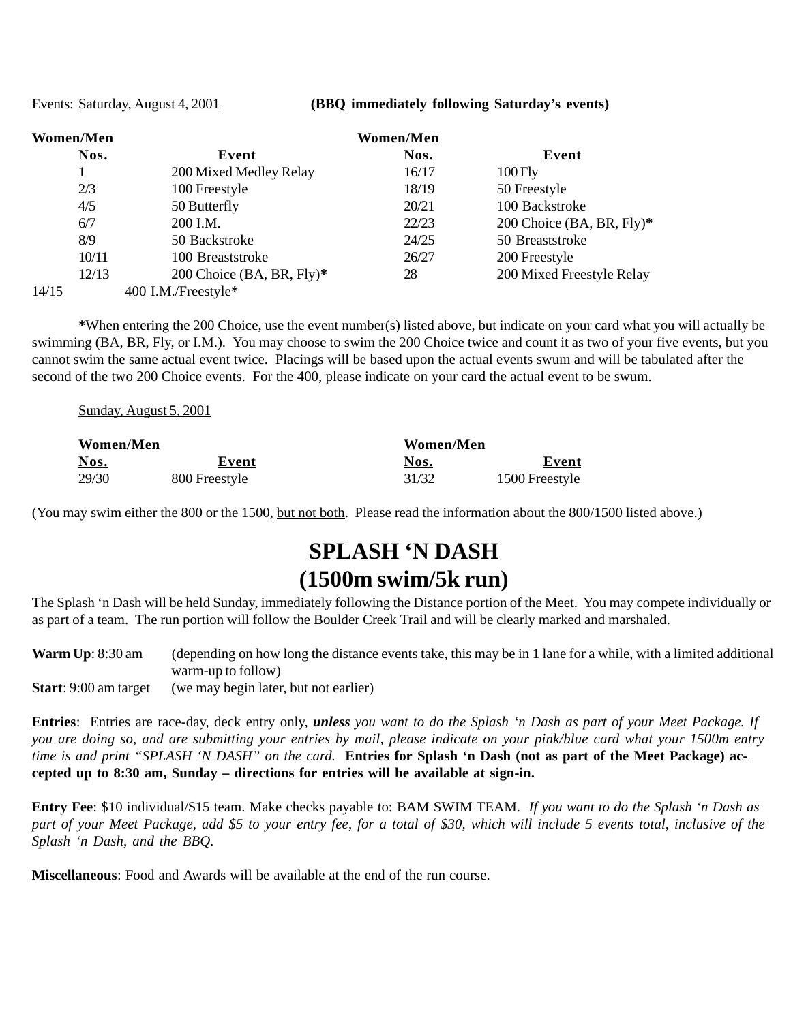Events: Saturday, August 4, 2001 **(BBQ immediately following Saturday's events)**

| <b>Women/Men</b> |                           | <b>Women/Men</b> |                           |  |
|------------------|---------------------------|------------------|---------------------------|--|
| Nos.             | Event                     | Nos.             | Event                     |  |
|                  | 200 Mixed Medley Relay    | 16/17            | $100$ Fly                 |  |
| 2/3              | 100 Freestyle             | 18/19            | 50 Freestyle              |  |
| 4/5              | 50 Butterfly              | 20/21            | 100 Backstroke            |  |
| 6/7              | 200 I.M.                  | 22/23            | 200 Choice (BA, BR, Fly)* |  |
| 8/9              | 50 Backstroke             | 24/25            | 50 Breaststroke           |  |
| 10/11            | 100 Breaststroke          | 26/27            | 200 Freestyle             |  |
| 12/13            | 200 Choice (BA, BR, Fly)* | 28               | 200 Mixed Freestyle Relay |  |
| 14/15            | 400 I.M./Freestyle*       |                  |                           |  |

**\***When entering the 200 Choice, use the event number(s) listed above, but indicate on your card what you will actually be swimming (BA, BR, Fly, or I.M.). You may choose to swim the 200 Choice twice and count it as two of your five events, but you cannot swim the same actual event twice. Placings will be based upon the actual events swum and will be tabulated after the second of the two 200 Choice events. For the 400, please indicate on your card the actual event to be swum.

| Sunday, August 5, 2001 |
|------------------------|
|                        |

| Women/Men |               | Women/Men |                |
|-----------|---------------|-----------|----------------|
| Nos.      | Event         | Nos.      | Event          |
| 29/30     | 800 Freestyle | 31/32     | 1500 Freestyle |

(You may swim either the 800 or the 1500, but not both. Please read the information about the 800/1500 listed above.)

### **SPLASH 'N DASH (1500m swim/5k run)**

The Splash 'n Dash will be held Sunday, immediately following the Distance portion of the Meet. You may compete individually or as part of a team. The run portion will follow the Boulder Creek Trail and will be clearly marked and marshaled.

**Warm Up**: 8:30 am (depending on how long the distance events take, this may be in 1 lane for a while, with a limited additional warm-up to follow)

**Start**: 9:00 am target (we may begin later, but not earlier)

**Entries**: Entries are race-day, deck entry only, *unless you want to do the Splash 'n Dash as part of your Meet Package. If you are doing so, and are submitting your entries by mail, please indicate on your pink/blue card what your 1500m entry time is and print "SPLASH 'N DASH" on the card.* **Entries for Splash 'n Dash (not as part of the Meet Package) accepted up to 8:30 am, Sunday – directions for entries will be available at sign-in.**

**Entry Fee**: \$10 individual/\$15 team. Make checks payable to: BAM SWIM TEAM. *If you want to do the Splash 'n Dash as part of your Meet Package, add \$5 to your entry fee, for a total of \$30, which will include 5 events total, inclusive of the Splash 'n Dash, and the BBQ.*

**Miscellaneous**: Food and Awards will be available at the end of the run course.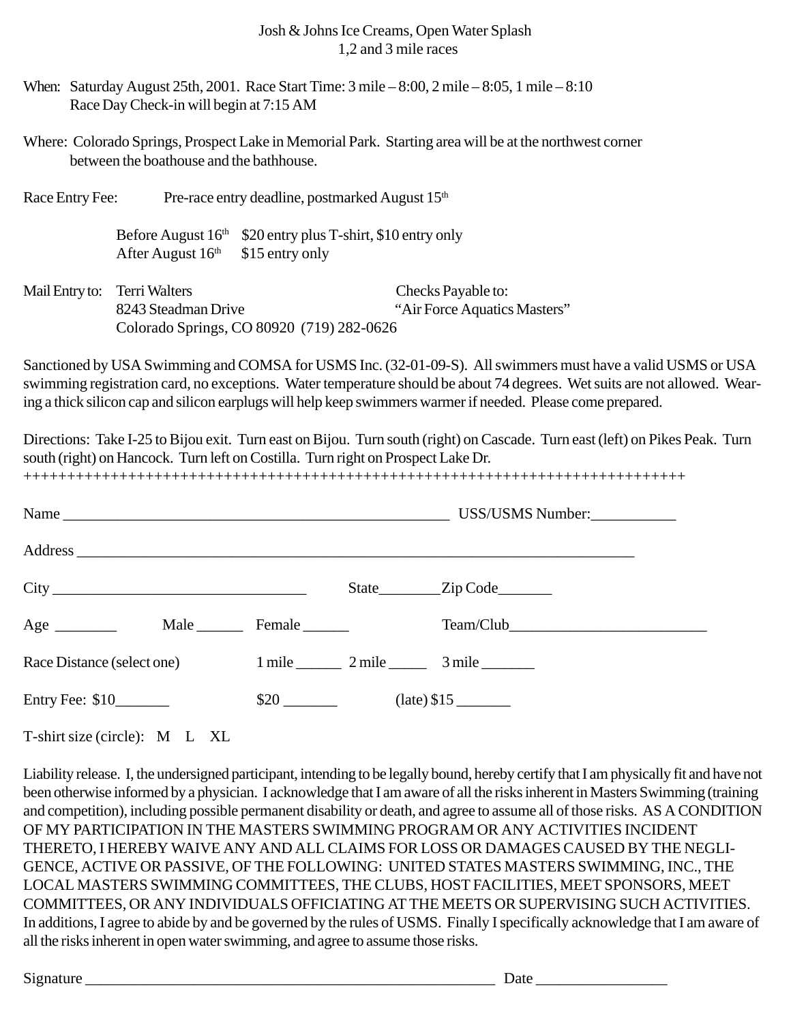#### Josh & Johns Ice Creams, Open Water Splash 1,2 and 3 mile races

- When: Saturday August 25th, 2001. Race Start Time:  $3$  mile  $-8:00$ ,  $2$  mile  $-8:05$ ,  $1$  mile  $-8:10$ Race Day Check-in will begin at 7:15 AM
- Where: Colorado Springs, Prospect Lake in Memorial Park. Starting area will be at the northwest corner between the boathouse and the bathhouse.

Race Entry Fee: Pre-race entry deadline, postmarked August 15<sup>th</sup>

Before August  $16<sup>th</sup>$  \$20 entry plus T-shirt, \$10 entry only After August  $16<sup>th</sup>$  \$15 entry only

Mail Entry to: Terri Walters Checks Payable to: 8243 Steadman Drive "Air Force Aquatics Masters" Colorado Springs, CO 80920 (719) 282-0626

Sanctioned by USA Swimming and COMSA for USMS Inc. (32-01-09-S). All swimmers must have a valid USMS or USA swimming registration card, no exceptions. Water temperature should be about 74 degrees. Wet suits are not allowed. Wearing a thick silicon cap and silicon earplugs will help keep swimmers warmer if needed. Please come prepared.

Directions: Take I-25 to Bijou exit. Turn east on Bijou. Turn south (right) on Cascade. Turn east (left) on Pikes Peak. Turn south (right) on Hancock. Turn left on Costilla. Turn right on Prospect Lake Dr.

|                            |             | USS/USMS Number:                         |
|----------------------------|-------------|------------------------------------------|
|                            |             |                                          |
|                            |             | State <u>Zip</u> Code                    |
| $Age \_$                   | Male Female |                                          |
| Race Distance (select one) |             | $1 \text{ mile}$ 2 mile $3 \text{ mile}$ |
| Entry Fee: $$10$           |             |                                          |

++++++++++++++++++++++++++++++++++++++++++++++++++++++++++++++++++++++++++++

T-shirt size (circle): M L XL

Liability release. I, the undersigned participant, intending to be legally bound, hereby certify that I am physically fit and have not been otherwise informed by a physician. I acknowledge that I am aware of all the risks inherent in Masters Swimming (training and competition), including possible permanent disability or death, and agree to assume all of those risks. AS A CONDITION OF MY PARTICIPATION IN THE MASTERS SWIMMING PROGRAM OR ANY ACTIVITIES INCIDENT THERETO, I HEREBY WAIVE ANY AND ALL CLAIMS FOR LOSS OR DAMAGES CAUSED BY THE NEGLI-GENCE, ACTIVE OR PASSIVE, OF THE FOLLOWING: UNITED STATES MASTERS SWIMMING, INC., THE LOCAL MASTERS SWIMMING COMMITTEES, THE CLUBS, HOST FACILITIES, MEET SPONSORS, MEET COMMITTEES, OR ANY INDIVIDUALS OFFICIATING AT THE MEETS OR SUPERVISING SUCH ACTIVITIES. In additions, I agree to abide by and be governed by the rules of USMS. Finally I specifically acknowledge that I am aware of all the risks inherent in open water swimming, and agree to assume those risks.

Signature  $\Box$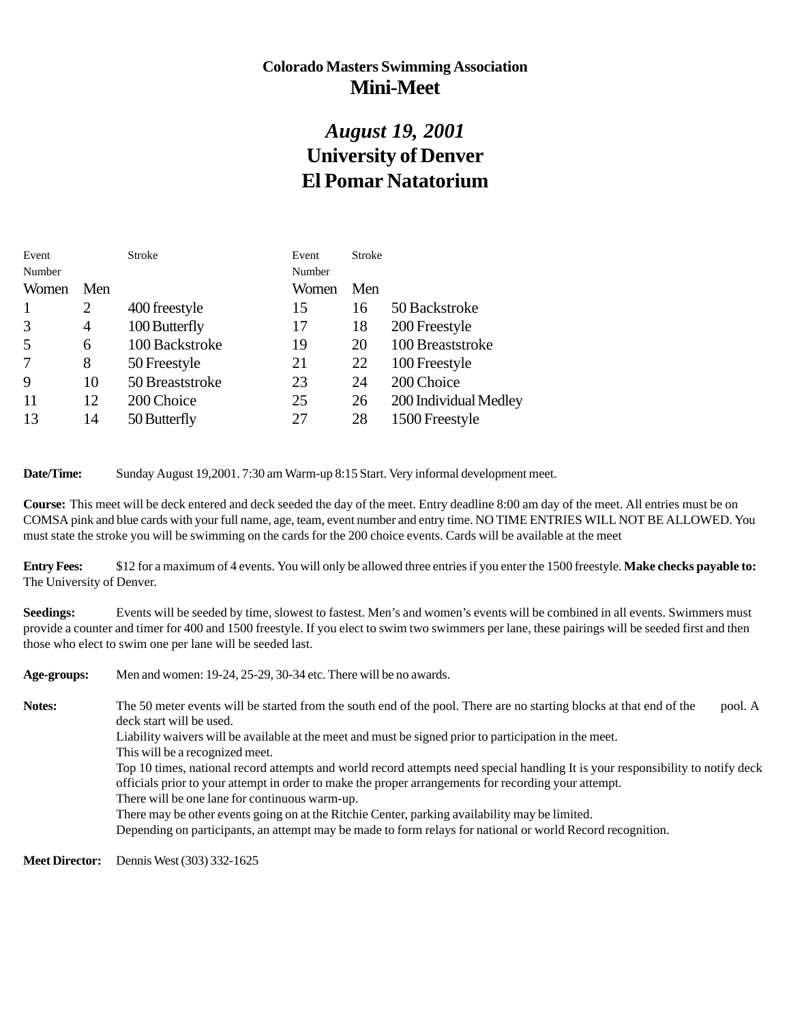### **Colorado Masters Swimming Association Mini-Meet**

### *August 19, 2001* **University of Denver El Pomar Natatorium**

| Stroke<br>Event                   |
|-----------------------------------|
| Number                            |
| Women<br>Men                      |
| 50 Backstroke<br>15<br>16         |
| 200 Freestyle<br>18<br>17         |
| 100 Breaststroke<br>19<br>20      |
| 21<br>22<br>100 Freestyle         |
| 200 Choice<br>23<br>24            |
| 200 Individual Medley<br>25<br>26 |
| 27<br>28<br>1500 Freestyle        |
|                                   |

**Date/Time:** Sunday August 19,2001. 7:30 am Warm-up 8:15 Start. Very informal development meet.

**Course:** This meet will be deck entered and deck seeded the day of the meet. Entry deadline 8:00 am day of the meet. All entries must be on COMSA pink and blue cards with your full name, age, team, event number and entry time. NO TIME ENTRIES WILL NOT BE ALLOWED. You must state the stroke you will be swimming on the cards for the 200 choice events. Cards will be available at the meet

**Entry Fees:** \$12 for a maximum of 4 events. You will only be allowed three entries if you enter the 1500 freestyle. **Make checks payable to:** The University of Denver.

**Seedings:** Events will be seeded by time, slowest to fastest. Men's and women's events will be combined in all events. Swimmers must provide a counter and timer for 400 and 1500 freestyle. If you elect to swim two swimmers per lane, these pairings will be seeded first and then those who elect to swim one per lane will be seeded last.

**Age-groups:** Men and women: 19-24, 25-29, 30-34 etc. There will be no awards. Notes: The 50 meter events will be started from the south end of the pool. There are no starting blocks at that end of the pool. A deck start will be used. Liability waivers will be available at the meet and must be signed prior to participation in the meet. This will be a recognized meet. Top 10 times, national record attempts and world record attempts need special handling It is your responsibility to notify deck officials prior to your attempt in order to make the proper arrangements for recording your attempt. There will be one lane for continuous warm-up. There may be other events going on at the Ritchie Center, parking availability may be limited. Depending on participants, an attempt may be made to form relays for national or world Record recognition.

**Meet Director:** Dennis West (303) 332-1625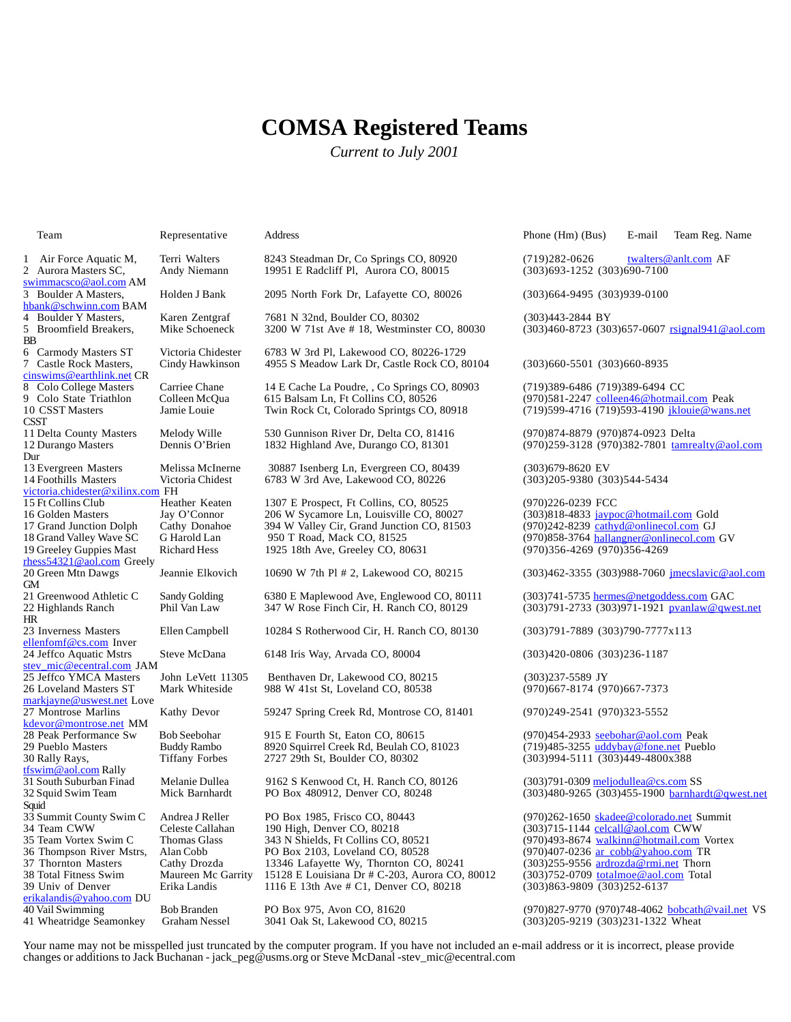### **COMSA Registered Teams**

*Current to July 2001*

| 1<br>Air Force Aquatic M,<br>2 Aurora Masters SC,        | Terr<br>And  |
|----------------------------------------------------------|--------------|
| swimmacsco@aol.com AM                                    |              |
| 3 Boulder A Masters,<br><u>hbank@schwinn.com</u> BAM     | Hol          |
| Boulder Y Masters,<br>4<br>5<br>Broomfield Breakers,     | Kar<br>Mik   |
| ВB                                                       |              |
| <b>Carmody Masters ST</b><br>6<br>7 Castle Rock Masters, | Vict<br>Cino |
| <u>cinswims@earthlink.net</u> CR                         |              |
| 8 Colo College Masters<br>9 Colo State Triathlon         | Carı<br>Coll |
| 10 CSST Masters                                          | Jam          |
| <b>CSST</b><br>11 Delta County Masters                   | Mel          |
| 12 Durango Masters                                       | Den          |
| Dur<br>13 Evergreen Masters                              | Mel          |
| 14 Foothills Masters                                     | Vict         |
| victoria.chidester@xilinx.com FH<br>15 Ft Collins Club   |              |
| 16 Golden Masters                                        | Hea<br>Jay   |
| 17 Grand Junction Dolph                                  | Catl         |
| 18 Grand Valley Wave SC                                  | GΗ           |
| 19 Greeley Guppies Mast<br>rhess54321@aol.com Greely     | Rich         |
| 20 Green Mtn Dawgs                                       | Jean         |
| GМ<br>21 Greenwood Athletic C                            | Sano         |
| 22 Highlands Ranch                                       | Phil         |
| HR<br>23 Inverness Masters                               |              |
| ellenfomf@cs.com Inver                                   | Elle         |
| 24 Jeffco Aquatic Mstrs                                  | Stev         |
| stev_mic@ecentral.com_JAM<br>25 Jeffco YMCA Masters      | Johi         |
| 26 Loveland Masters ST                                   | Mar          |
| <u>markjayne@uswest.net</u> Love<br>27 Montrose Marlins  | Katl         |
| kdevor@montrose.net_MM                                   |              |
| 28 Peak Performance Sw<br>29 Pueblo Masters              | Bob<br>Bud   |
| 30 Rally Rays,                                           | Tiff         |
| tfswim@aol.com Rally                                     |              |
| 31 South Suburban Finad<br>32 Squid Swim Team            | Mel<br>Mic   |
| Squid                                                    |              |
| 33 Summit County Swim C                                  | And          |
| 34 Team CWW<br>35 Team Vortex Swim C                     | Cele<br>Tho  |
| 36 Thompson River Mstrs,                                 | Alaı         |
| 37<br><b>Thornton Masters</b>                            | Catl         |
| 38 Total Fitness Swim<br>39 Univ of Denver               | Mat<br>Erik  |
| erikalandis@yahoo.com DU                                 |              |
| 40 Vail Swimming                                         | Bob          |
| 41 Wheatridge Seamonkey                                  | Gra          |

1 41 Erri Walters 8243 Steadman Dr, Co Springs CO, 80920 (719)282-0626 twalters @anlt.com AF<br>19951 E Radcliff Pl, Aurora CO, 80015 (303)693-1252 (303)690-7100 2 Aurora CO, 80015 ION Martin Scheduler Scheduler Radcliff Pl, Aurora CO, 80015

3 Boulder A Masters, Holden J Bank 2095 North Fork Dr, Lafayette CO, 80026 (303)664-9495 (303)939-0100

aren Zentgraf 7681 N 32nd, Boulder CO, 80302 (303)443-2844 BY

Fictoria Chidester 6783 W 3rd Pl, Lakewood CO, 80226-1729<br>Cindy Hawkinson 4955 S Meadow Lark Dr, Castle Rock CO, 8 7 Castle Rock Masters, Cindy Hawkinson 4955 S Meadow Lark Dr, Castle Rock CO, 80104 (303)660-5501 (303)660-8935

8 Carriee Chane 14 E Cache La Poudre, , Co Springs CO, 80903 (19)389-6486 (719)389-6494 CC<br>| 2010 - 615 Dalsam Ln, Ft Collins CO, 80526 (970)581-2247 <u>colleen46@hotmail</u>

11 11 11 delta Countison River Dr, Delta Co, 81416 (970)874-8879 (970)874-0923 Delta<br>1832 Highland Ave, Durango CO, 81301 (970)259-3128 (970)382-7801 tamre

13 Evergreen Masters Melissa McInerne 30887 Isenberg Ln, Evergreen CO, 80439 (303)679-8620 EV 11 Tictoria Chidest 6783 W 3rd Ave, Lakewood CO, 80226<br>FH

Feather Keaten 1307 E Prospect, Ft Collins, CO, 80525 (970)226-0239 FCC<br>ay O'Connor 206 W Sycamore Ln, Louisville CO, 80027 (303)818-4833 jaype ay O'Connor 206 W Sycamore Ln, Louisville CO, 80027 (303)818-4833 <u>jaypoc@hotmail.com</u> Gold<br>'athy Donahoe 394 W Valley Cir, Grand Junction CO, 81503 (970)242-8239 <u>cathyd@onlinecol.com</u> GJ 17 athy Donahoe 394 W Valley Cir, Grand Junction CO, 81503<br>
Harold Lan 950 T Road, Mack CO, 81525 1925 18th Ave, Greeley CO, 80631

20 Erem Munn Dawgs Jeannie Elkovich 10690 W 7th Pl # 2, Lakewood CO, 80215 (303)462-3355 (303)988-7060 jmecslavic@aol.com

21 andy Golding 6380 E Maplewood Ave, Englewood CO, 80111 (303)741-5735 hermes@netgoddess.com GAC<br>21 hil Van Law 347 W Rose Finch Cir, H. Ranch CO, 80129 (303)791-2733 (303)971-1921 pvanlaw@qwe

23 Inverness Masters Ellen Campbell 10284 S Rotherwood Cir, H. Ranch CO, 80130 (303)791-7889 (303)790-7777x113

25 Jeffco YMCA Masters John LeVett 11305 Benthaven Dr, Lakewood CO, 80215 (303)237-5589 JY 988 W 41st St, Loveland CO, 80538

athy Devor 59247 Spring Creek Rd, Montrose CO, 81401 (970)249-2541 (970)323-5552

28 *Seebohar* 915 E Fourth St, Eaton CO, 80615 (970)454-2933 <u>seebohar@aol.com</u> Peak<br>3920 Squirrel Creek Rd, Beulah CO, 81023 (719)485-3255 <u>uddybay@fone.net</u> Pueblo 29 Pueddy Rambo 8920 Squirrel Creek Rd, Beulah CO, 81023<br>
1923 Tiffany Forbes 2727 29th St, Boulder CO, 80302

31 Aelanie Dullea Pinad Melanie Dullea 9162 S Kenwood Ct, H. Ranch CO, 80126 (303)791-0309 <u>meljodullea@cs.com</u> SS<br>2013)480-9265 (303)455-1<del>900 barnhar (10 Denver Co, 80248</del> (303)480-9265 (303)455-1900 barnhar (303)455-190

33 Andrea J Reller PO Box 1985, Frisco CO, 80443 (970)262-1650 skadee@colorado.net Summit<br>190 High, Denver CO, 80218 (303)715-1144 celcall@aol.com CWW 190 High, Denver CO, 80218 (303)715-1144 celcall@aol.com CWW<br>343 N Shields, Ft Collins CO, 80521 (970)493-8674 walkinn@hotmail.com 333 N Shields, Ft Collins CO, 80521 (970)493-8674 <u>walkinn@hotmail.com</u> Vortex (970)493-8674 walkinn 36 Thompson River Mstrs, Alan Cobb PO Box 2103, Loveland CO, 80528 (970)407-0236 ar\_cobb@yahoo.com TR 3746 Lafayette Wy, Thornton CO, 80241 (303)255-9556 ardrozda@rmi.net Thorn<sup>ton</sup> Maureen Mc Garrity 15128 E Louisiana Dr # C-203, Aurora CO, 80012 (303)752-0709 <u>totalmoe@aol.com</u> Total 38 Total Fitness Mc Garrity 15128 E Louisiana Dr # C-203, Aurora CO, 80012 (303)752-0709 totalmoe@aol.com Total<br>1116 E 13th Ave # C1, Denver CO, 80218 (303)863-9809 (303)252-6137 1116 E 13th Ave # C1, Denver CO, 80218

Team Representative Address Phone (Hm) (Bus) E-mail Team Reg. Name

dike Schoeneck 3200 W 71st Ave # 18, Westminster CO, 80030 (303)460-8723 (303)657-0607 rsignal941@aol.com

olleen McQua 615 Balsam Ln, Ft Collins CO, 80526 (970)581-2247 colleen46@hotmail.com Peak"<br>20 Colleen Acquae Twin Rock Ct, Colorado Sprintgs CO, 80918 (19)599-4716 (719)593-4190 <u>jklouie@wans</u> (719) 599 - 4716 (719) 593 - 4190 jklouie@wans.net

(970) 259-3128 (970) 382-7801 tamrealty@aol.com

18 Harold Lan 950 T Road, Mack CO, 81525 (970)858-3764 hallangner@onlinecol.com GV<br>
18 Grand Hess 1925 18th Ave, Greeley CO, 80631 (970)356-4269 (970)356-4269

(303) 791 - 2733 (303) 971 - 1921 pvanlaw@qwest.net

teve McDana 6148 Iris Way, Arvada CO, 80004 (303)420-0806 (303)236-1187

30 Rally Rays, Tiffany Forbes 2727 29th St, Boulder CO, 80302 (303)994-5111 (303)449-4800x388

 $(303)480 - 9265$   $(303)455 - 1900$  barnhardt@qwest.net

40 Vail Swimming Bob Branden PO Box 975, Avon CO, 81620<br>
51 Graham Nessel 3041 Oak St, Lakewood CO, 80215 (303)205-9219 (303)231-1322 Wheat (303) 205-9219 (303) 231-1322 Wheat

Your name may not be misspelled just truncated by the computer program. If you have not included an e-mail address or it is incorrect, please provide changes or additions to Jack Buchanan - jack\_peg@usms.org or Steve McDanal -stev\_mic@ecentral.com